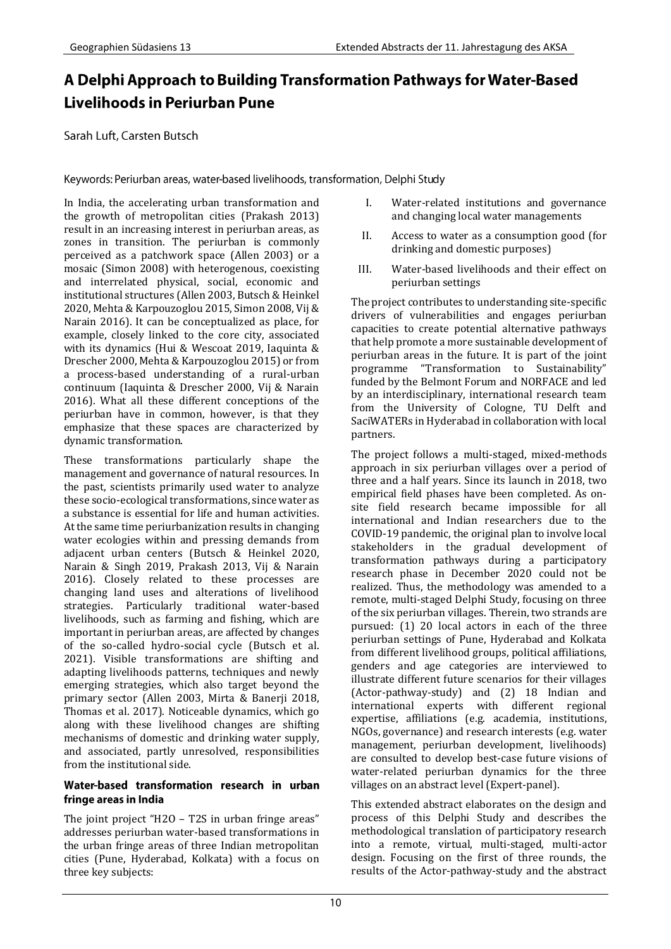# A Delphi Approach to Building Transformation Pathways for Water-Based Livelihoods in Periurban Pune

Sarah Luft, Carsten Butsch

Keywords: Periurban areas, water-based livelihoods, transformation, Delphi Study

In India, the accelerating urban transformation and the growth of metropolitan cities (Prakash 2013) result in an increasing interest in periurban areas, as zones in transition. The periurban is commonly perceived as a patchwork space (Allen 2003) or a mosaic (Simon 2008) with heterogenous, coexisting and interrelated physical, social, economic and institutional structures (Allen 2003, Butsch & Heinkel 2020, Mehta & Karpouzoglou 2015, Simon 2008, Vij & Narain 2016). It can be conceptualized as place, for example, closely linked to the core city, associated with its dynamics (Hui & Wescoat 2019, Iaquinta & Drescher 2000, Mehta & Karpouzoglou 2015) or from a process-based understanding of a rural-urban continuum (Iaquinta & Drescher 2000, Vij & Narain 2016). What all these different conceptions of the periurban have in common, however, is that they emphasize that these spaces are characterized by dynamic transformation.

These transformations particularly shape the management and governance of natural resources. In the past, scientists primarily used water to analyze these socio-ecological transformations, since water as a substance is essential for life and human activities. At the same time periurbanization results in changing water ecologies within and pressing demands from adjacent urban centers (Butsch & Heinkel 2020, Narain & Singh 2019, Prakash 2013, Vij & Narain 2016). Closely related to these processes are changing land uses and alterations of livelihood strategies. Particularly traditional water-based livelihoods, such as farming and fishing, which are important in periurban areas, are affected by changes of the so-called hydro-social cycle (Butsch et al. 2021). Visible transformations are shifting and adapting livelihoods patterns, techniques and newly emerging strategies, which also target beyond the primary sector (Allen 2003, Mirta & Banerji 2018, Thomas et al. 2017). Noticeable dynamics, which go along with these livelihood changes are shifting mechanisms of domestic and drinking water supply, and associated, partly unresolved, responsibilities from the institutional side.

### Water-based transformation research in urban fringe areas in India

The joint project "H2O – T2S in urban fringe areas" addresses periurban water-based transformations in the urban fringe areas of three Indian metropolitan cities (Pune, Hyderabad, Kolkata) with a focus on three key subjects:

- I. Water-related institutions and governance and changing local water managements
- II. Access to water as a consumption good (for drinking and domestic purposes)
- III. Water-based livelihoods and their effect on periurban settings

The project contributes to understanding site-specific drivers of vulnerabilities and engages periurban capacities to create potential alternative pathways that help promote a more sustainable development of periurban areas in the future. It is part of the joint programme "Transformation to Sustainability" funded by the Belmont Forum and NORFACE and led by an interdisciplinary, international research team from the University of Cologne, TU Delft and SaciWATERs in Hyderabad in collaboration with local partners.

The project follows a multi-staged, mixed-methods approach in six periurban villages over a period of three and a half years. Since its launch in 2018, two empirical field phases have been completed. As onsite field research became impossible for all international and Indian researchers due to the COVID-19 pandemic, the original plan to involve local stakeholders in the gradual development of transformation pathways during a participatory research phase in December 2020 could not be realized. Thus, the methodology was amended to a remote, multi-staged Delphi Study, focusing on three of the six periurban villages. Therein, two strands are pursued: (1) 20 local actors in each of the three periurban settings of Pune, Hyderabad and Kolkata from different livelihood groups, political affiliations, genders and age categories are interviewed to illustrate different future scenarios for their villages (Actor-pathway-study) and (2) 18 Indian and international experts with different regional expertise, affiliations (e.g. academia, institutions, NGOs, governance) and research interests (e.g. water management, periurban development, livelihoods) are consulted to develop best-case future visions of water-related periurban dynamics for the three villages on an abstract level (Expert-panel).

This extended abstract elaborates on the design and process of this Delphi Study and describes the methodological translation of participatory research into a remote, virtual, multi-staged, multi-actor design. Focusing on the first of three rounds, the results of the Actor-pathway-study and the abstract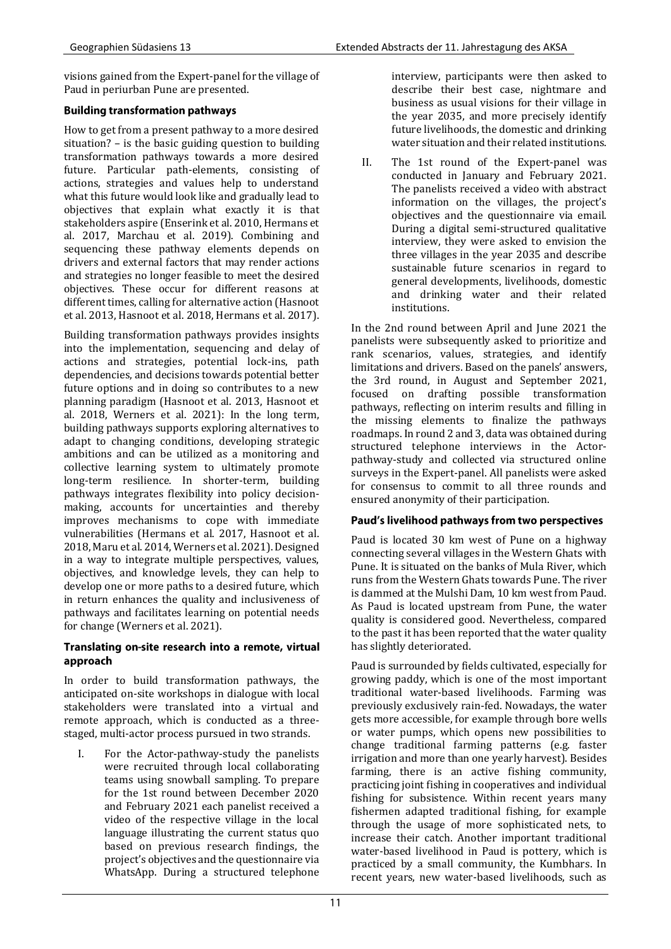visions gained from the Expert-panel for the village of Paud in periurban Pune are presented.

### **Building transformation pathways**

How to get from a present pathway to a more desired situation? – is the basic guiding question to building transformation pathways towards a more desired future. Particular path-elements, consisting of actions, strategies and values help to understand what this future would look like and gradually lead to objectives that explain what exactly it is that stakeholders aspire (Enserink et al. 2010, Hermans et al. 2017, Marchau et al. 2019). Combining and sequencing these pathway elements depends on drivers and external factors that may render actions and strategies no longer feasible to meet the desired objectives. These occur for different reasons at different times, calling for alternative action (Hasnoot et al. 2013, Hasnoot et al. 2018, Hermans et al. 2017).

Building transformation pathways provides insights into the implementation, sequencing and delay of actions and strategies, potential lock-ins, path dependencies, and decisions towards potential better future options and in doing so contributes to a new planning paradigm (Hasnoot et al. 2013, Hasnoot et al. 2018, Werners et al. 2021): In the long term, building pathways supports exploring alternatives to adapt to changing conditions, developing strategic ambitions and can be utilized as a monitoring and collective learning system to ultimately promote long-term resilience. In shorter-term, building pathways integrates flexibility into policy decisionmaking, accounts for uncertainties and thereby improves mechanisms to cope with immediate vulnerabilities (Hermans et al. 2017, Hasnoot et al. 2018, Maru et al. 2014, Werners et al. 2021). Designed in a way to integrate multiple perspectives, values, objectives, and knowledge levels, they can help to develop one or more paths to a desired future, which in return enhances the quality and inclusiveness of pathways and facilitates learning on potential needs for change (Werners et al. 2021).

#### Translating on-site research into a remote, virtual approach

In order to build transformation pathways, the anticipated on-site workshops in dialogue with local stakeholders were translated into a virtual and remote approach, which is conducted as a threestaged, multi-actor process pursued in two strands.

I. For the Actor-pathway-study the panelists were recruited through local collaborating teams using snowball sampling. To prepare for the 1st round between December 2020 and February 2021 each panelist received a video of the respective village in the local language illustrating the current status quo based on previous research findings, the project's objectives and the questionnaire via WhatsApp. During a structured telephone interview, participants were then asked to describe their best case, nightmare and business as usual visions for their village in the year 2035, and more precisely identify future livelihoods, the domestic and drinking water situation and their related institutions.

II. The 1st round of the Expert-panel was conducted in January and February 2021. The panelists received a video with abstract information on the villages, the project's objectives and the questionnaire via email. During a digital semi-structured qualitative interview, they were asked to envision the three villages in the year 2035 and describe sustainable future scenarios in regard to general developments, livelihoods, domestic and drinking water and their related institutions.

In the 2nd round between April and June 2021 the panelists were subsequently asked to prioritize and rank scenarios, values, strategies, and identify limitations and drivers. Based on the panels' answers, the 3rd round, in August and September 2021, focused on drafting possible transformation pathways, reflecting on interim results and filling in the missing elements to finalize the pathways roadmaps. In round 2 and 3, data was obtained during structured telephone interviews in the Actorpathway-study and collected via structured online surveys in the Expert-panel. All panelists were asked for consensus to commit to all three rounds and ensured anonymity of their participation.

## Paud's livelihood pathways from two perspectives

Paud is located 30 km west of Pune on a highway connecting several villages in the Western Ghats with Pune. It is situated on the banks of Mula River, which runs from the Western Ghats towards Pune. The river is dammed at the Mulshi Dam, 10 km west from Paud. As Paud is located upstream from Pune, the water quality is considered good. Nevertheless, compared to the past it has been reported that the water quality has slightly deteriorated.

Paud is surrounded by fields cultivated, especially for growing paddy, which is one of the most important traditional water-based livelihoods. Farming was previously exclusively rain-fed. Nowadays, the water gets more accessible, for example through bore wells or water pumps, which opens new possibilities to change traditional farming patterns (e.g. faster irrigation and more than one yearly harvest). Besides farming, there is an active fishing community, practicing joint fishing in cooperatives and individual fishing for subsistence. Within recent years many fishermen adapted traditional fishing, for example through the usage of more sophisticated nets, to increase their catch. Another important traditional water-based livelihood in Paud is pottery, which is practiced by a small community, the Kumbhars. In recent years, new water-based livelihoods, such as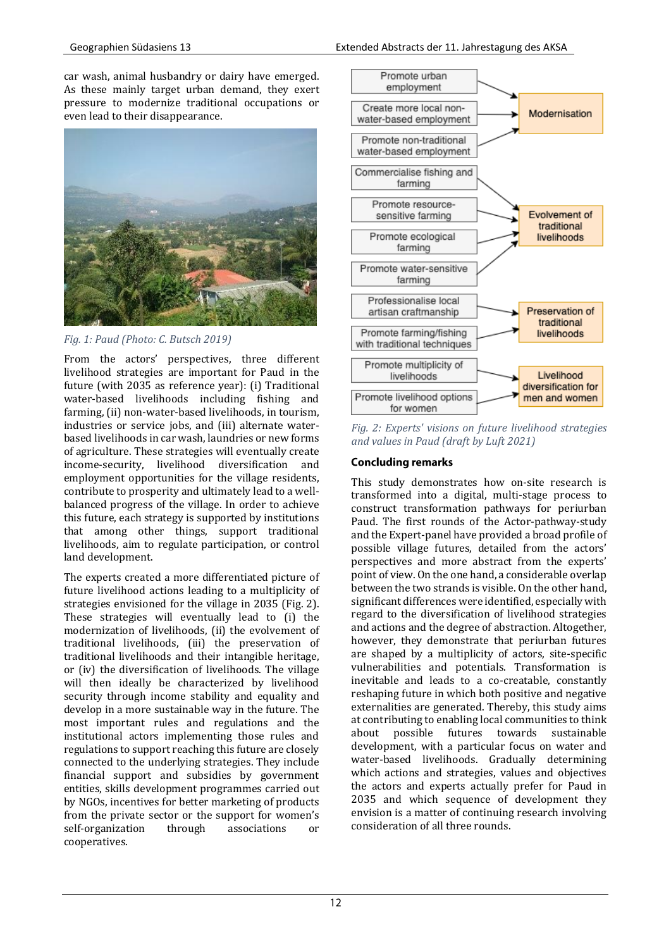car wash, animal husbandry or dairy have emerged. As these mainly target urban demand, they exert pressure to modernize traditional occupations or even lead to their disappearance.



*Fig. 1: Paud (Photo: C. Butsch 2019)*

From the actors' perspectives, three different livelihood strategies are important for Paud in the future (with 2035 as reference year): (i) Traditional water-based livelihoods including fishing and farming, (ii) non-water-based livelihoods, in tourism, industries or service jobs, and (iii) alternate waterbased livelihoods in car wash, laundries or new forms of agriculture. These strategies will eventually create income-security, livelihood diversification and employment opportunities for the village residents, contribute to prosperity and ultimately lead to a wellbalanced progress of the village. In order to achieve this future, each strategy is supported by institutions that among other things, support traditional livelihoods, aim to regulate participation, or control land development.

The experts created a more differentiated picture of future livelihood actions leading to a multiplicity of strategies envisioned for the village in 2035 (Fig. 2). These strategies will eventually lead to (i) the modernization of livelihoods, (ii) the evolvement of traditional livelihoods, (iii) the preservation of traditional livelihoods and their intangible heritage, or (iv) the diversification of livelihoods. The village will then ideally be characterized by livelihood security through income stability and equality and develop in a more sustainable way in the future. The most important rules and regulations and the institutional actors implementing those rules and regulations to support reaching this future are closely connected to the underlying strategies. They include financial support and subsidies by government entities, skills development programmes carried out by NGOs, incentives for better marketing of products from the private sector or the support for women's self-organization through associations or cooperatives.



*Fig. 2: Experts' visions on future livelihood strategies and values in Paud (draft by Luft 2021)*

## **Concluding remarks**

This study demonstrates how on-site research is transformed into a digital, multi-stage process to construct transformation pathways for periurban Paud. The first rounds of the Actor-pathway-study and the Expert-panel have provided a broad profile of possible village futures, detailed from the actors' perspectives and more abstract from the experts' point of view. On the one hand, a considerable overlap between the two strands is visible. On the other hand, significant differences were identified, especially with regard to the diversification of livelihood strategies and actions and the degree of abstraction. Altogether, however, they demonstrate that periurban futures are shaped by a multiplicity of actors, site-specific vulnerabilities and potentials. Transformation is inevitable and leads to a co-creatable, constantly reshaping future in which both positive and negative externalities are generated. Thereby, this study aims at contributing to enabling local communities to think about possible futures towards sustainable development, with a particular focus on water and water-based livelihoods. Gradually determining which actions and strategies, values and objectives the actors and experts actually prefer for Paud in 2035 and which sequence of development they envision is a matter of continuing research involving consideration of all three rounds.